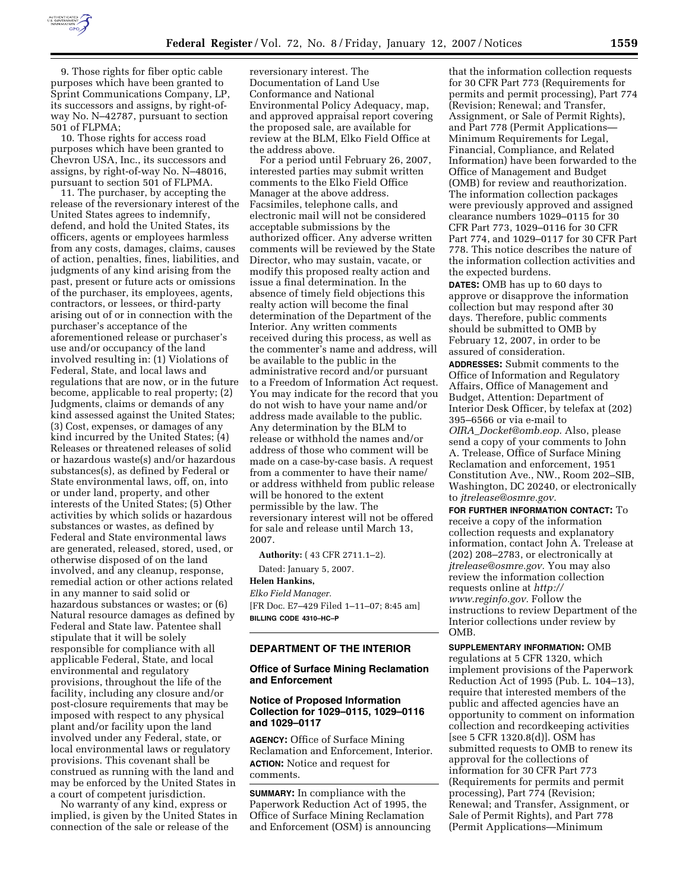

9. Those rights for fiber optic cable purposes which have been granted to Sprint Communications Company, LP, its successors and assigns, by right-ofway No. N–42787, pursuant to section 501 of FLPMA;

10. Those rights for access road purposes which have been granted to Chevron USA, Inc., its successors and assigns, by right-of-way No. N–48016, pursuant to section 501 of FLPMA.

11. The purchaser, by accepting the release of the reversionary interest of the United States agrees to indemnify, defend, and hold the United States, its officers, agents or employees harmless from any costs, damages, claims, causes of action, penalties, fines, liabilities, and judgments of any kind arising from the past, present or future acts or omissions of the purchaser, its employees, agents, contractors, or lessees, or third-party arising out of or in connection with the purchaser's acceptance of the aforementioned release or purchaser's use and/or occupancy of the land involved resulting in: (1) Violations of Federal, State, and local laws and regulations that are now, or in the future become, applicable to real property; (2) Judgments, claims or demands of any kind assessed against the United States; (3) Cost, expenses, or damages of any kind incurred by the United States; (4) Releases or threatened releases of solid or hazardous waste(s) and/or hazardous substances(s), as defined by Federal or State environmental laws, off, on, into or under land, property, and other interests of the United States; (5) Other activities by which solids or hazardous substances or wastes, as defined by Federal and State environmental laws are generated, released, stored, used, or otherwise disposed of on the land involved, and any cleanup, response, remedial action or other actions related in any manner to said solid or hazardous substances or wastes; or (6) Natural resource damages as defined by Federal and State law. Patentee shall stipulate that it will be solely responsible for compliance with all applicable Federal, State, and local environmental and regulatory provisions, throughout the life of the facility, including any closure and/or post-closure requirements that may be imposed with respect to any physical plant and/or facility upon the land involved under any Federal, state, or local environmental laws or regulatory provisions. This covenant shall be construed as running with the land and may be enforced by the United States in a court of competent jurisdiction.

No warranty of any kind, express or implied, is given by the United States in connection of the sale or release of the

reversionary interest. The Documentation of Land Use Conformance and National Environmental Policy Adequacy, map, and approved appraisal report covering the proposed sale, are available for review at the BLM, Elko Field Office at the address above.

For a period until February 26, 2007, interested parties may submit written comments to the Elko Field Office Manager at the above address. Facsimiles, telephone calls, and electronic mail will not be considered acceptable submissions by the authorized officer. Any adverse written comments will be reviewed by the State Director, who may sustain, vacate, or modify this proposed realty action and issue a final determination. In the absence of timely field objections this realty action will become the final determination of the Department of the Interior. Any written comments received during this process, as well as the commenter's name and address, will be available to the public in the administrative record and/or pursuant to a Freedom of Information Act request. You may indicate for the record that you do not wish to have your name and/or address made available to the public. Any determination by the BLM to release or withhold the names and/or address of those who comment will be made on a case-by-case basis. A request from a commenter to have their name/ or address withheld from public release will be honored to the extent permissible by the law. The reversionary interest will not be offered for sale and release until March 13, 2007.

**Authority:** ( 43 CFR 2711.1–2).

Dated: January 5, 2007. **Helen Hankins,**  *Elko Field Manager.*  [FR Doc. E7–429 Filed 1–11–07; 8:45 am] **BILLING CODE 4310–HC–P** 

#### **DEPARTMENT OF THE INTERIOR**

### **Office of Surface Mining Reclamation and Enforcement**

### **Notice of Proposed Information Collection for 1029–0115, 1029–0116 and 1029–0117**

**AGENCY:** Office of Surface Mining Reclamation and Enforcement, Interior. **ACTION:** Notice and request for comments.

**SUMMARY:** In compliance with the Paperwork Reduction Act of 1995, the Office of Surface Mining Reclamation and Enforcement (OSM) is announcing

that the information collection requests for 30 CFR Part 773 (Requirements for permits and permit processing), Part 774 (Revision; Renewal; and Transfer, Assignment, or Sale of Permit Rights), and Part 778 (Permit Applications— Minimum Requirements for Legal, Financial, Compliance, and Related Information) have been forwarded to the Office of Management and Budget (OMB) for review and reauthorization. The information collection packages were previously approved and assigned clearance numbers 1029–0115 for 30 CFR Part 773, 1029–0116 for 30 CFR Part 774, and 1029–0117 for 30 CFR Part 778. This notice describes the nature of the information collection activities and the expected burdens.

**DATES:** OMB has up to 60 days to approve or disapprove the information collection but may respond after 30 days. Therefore, public comments should be submitted to OMB by February 12, 2007, in order to be assured of consideration.

**ADDRESSES:** Submit comments to the Office of Information and Regulatory Affairs, Office of Management and Budget, Attention: Department of Interior Desk Officer, by telefax at (202) 395–6566 or via e-mail to *OIRA*\_*Docket@omb.eop.* Also, please send a copy of your comments to John A. Trelease, Office of Surface Mining Reclamation and enforcement, 1951 Constitution Ave., NW., Room 202–SIB, Washington, DC 20240, or electronically to *jtrelease@osmre.gov.* 

**FOR FURTHER INFORMATION CONTACT:** To receive a copy of the information collection requests and explanatory information, contact John A. Trelease at (202) 208–2783, or electronically at *jtrelease@osmre.gov.* You may also review the information collection requests online at *http:// www.reginfo.gov.* Follow the instructions to review Department of the Interior collections under review by OMB.

**SUPPLEMENTARY INFORMATION:** OMB regulations at 5 CFR 1320, which implement provisions of the Paperwork Reduction Act of 1995 (Pub. L. 104–13), require that interested members of the public and affected agencies have an opportunity to comment on information collection and recordkeeping activities [see 5 CFR 1320.8(d)]. OSM has submitted requests to OMB to renew its approval for the collections of information for 30 CFR Part 773 (Requirements for permits and permit processing), Part 774 (Revision; Renewal; and Transfer, Assignment, or Sale of Permit Rights), and Part 778 (Permit Applications—Minimum